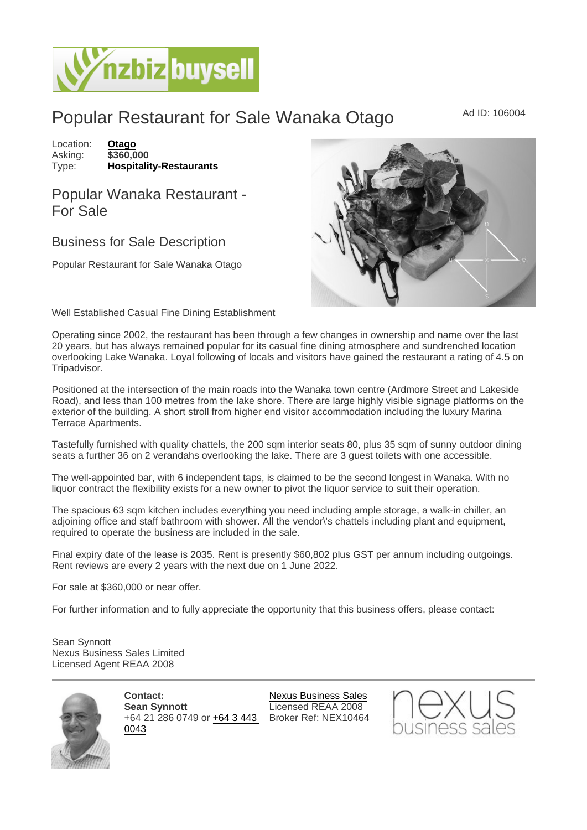## Popular Restaurant for Sale Wanaka Otago MAd ID: 106004

Location: [Otago](https://www.nzbizbuysell.co.nz/businesses-for-sale/location/Otago) Asking: \$360,000<br>Type: Hospitality [Hospitality-Restaurants](https://www.nzbizbuysell.co.nz/businesses-for-sale/Restaurants/New-Zealand)

## Popular Wanaka Restaurant - For Sale

## Business for Sale Description

Popular Restaurant for Sale Wanaka Otago

Well Established Casual Fine Dining Establishment

Operating since 2002, the restaurant has been through a few changes in ownership and name over the last 20 years, but has always remained popular for its casual fine dining atmosphere and sundrenched location overlooking Lake Wanaka. Loyal following of locals and visitors have gained the restaurant a rating of 4.5 on Tripadvisor.

Positioned at the intersection of the main roads into the Wanaka town centre (Ardmore Street and Lakeside Road), and less than 100 metres from the lake shore. There are large highly visible signage platforms on the exterior of the building. A short stroll from higher end visitor accommodation including the luxury Marina Terrace Apartments.

Tastefully furnished with quality chattels, the 200 sqm interior seats 80, plus 35 sqm of sunny outdoor dining seats a further 36 on 2 verandahs overlooking the lake. There are 3 guest toilets with one accessible.

The well-appointed bar, with 6 independent taps, is claimed to be the second longest in Wanaka. With no liquor contract the flexibility exists for a new owner to pivot the liquor service to suit their operation.

The spacious 63 sqm kitchen includes everything you need including ample storage, a walk-in chiller, an adjoining office and staff bathroom with shower. All the vendor\'s chattels including plant and equipment, required to operate the business are included in the sale.

Final expiry date of the lease is 2035. Rent is presently \$60,802 plus GST per annum including outgoings. Rent reviews are every 2 years with the next due on 1 June 2022.

For sale at \$360,000 or near offer.

For further information and to fully appreciate the opportunity that this business offers, please contact:

Sean Synnott Nexus Business Sales Limited Licensed Agent REAA 2008

> Contact: Sean Synnott +64 21 286 0749 or [+64 3 443](tel:+64 3 443 0043)  Broker Ref: NEX10464[0043](tel:+64 3 443 0043)

[Nexus Business Sales](https://www.nzbizbuysell.co.nz/business-brokers/147/nexus-business-sales/brokerage-listings) Licensed REAA 2008